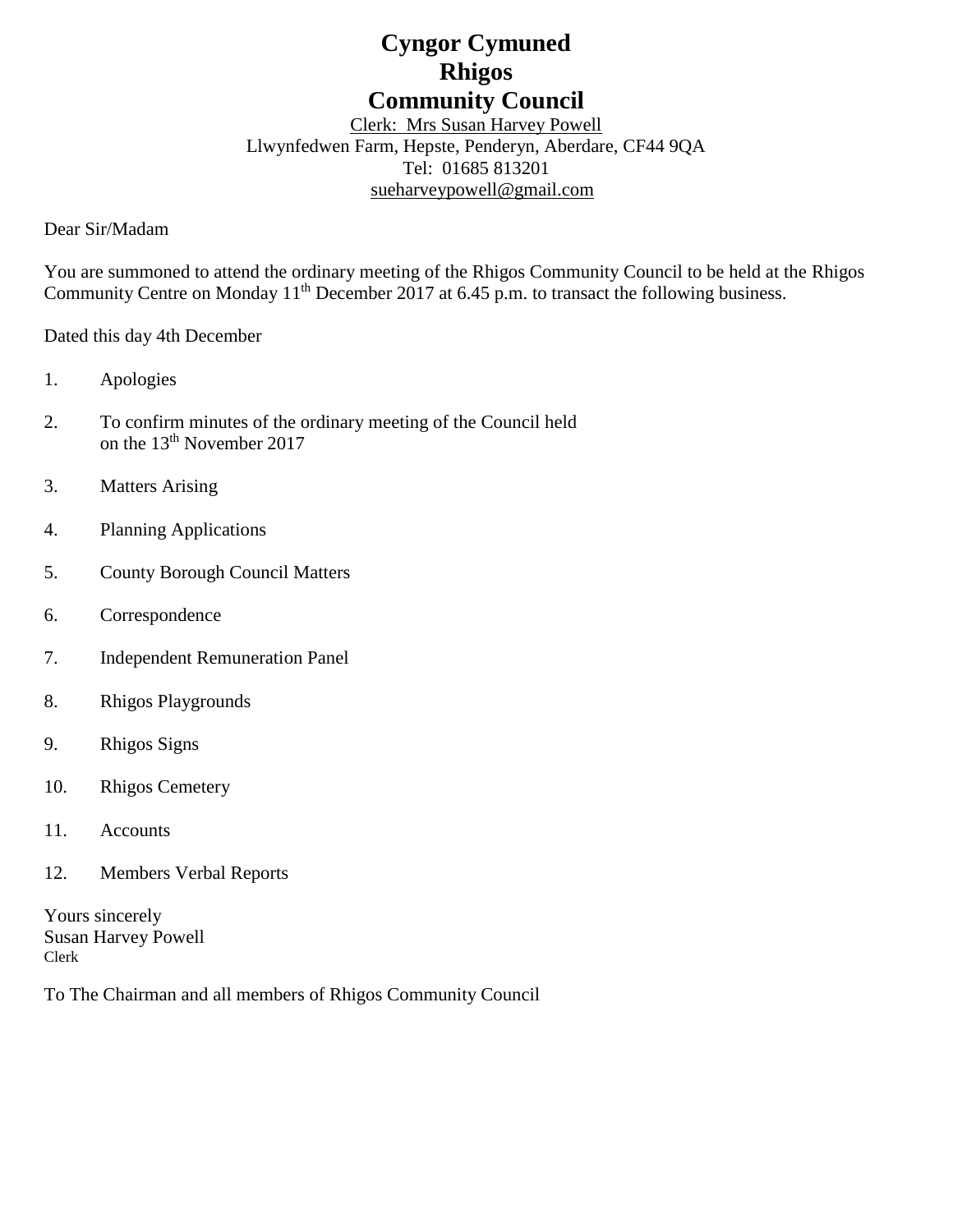# **Cyngor Cymuned Rhigos Community Council**

Clerk: Mrs Susan Harvey Powell Llwynfedwen Farm, Hepste, Penderyn, Aberdare, CF44 9QA Tel: 01685 813201 [sueharveypowell@g](mailto:sharveypowell@comin-infants.co.uk)mail.com

Dear Sir/Madam

You are summoned to attend the ordinary meeting of the Rhigos Community Council to be held at the Rhigos Community Centre on Monday 11<sup>th</sup> December 2017 at 6.45 p.m. to transact the following business.

Dated this day 4th December

- 1. Apologies
- 2. To confirm minutes of the ordinary meeting of the Council held on the 13<sup>th</sup> November 2017
- 3. Matters Arising
- 4. Planning Applications
- 5. County Borough Council Matters
- 6. Correspondence
- 7. Independent Remuneration Panel
- 8. Rhigos Playgrounds
- 9. Rhigos Signs
- 10. Rhigos Cemetery
- 11. Accounts
- 12. Members Verbal Reports

Yours sincerely Susan Harvey Powell Clerk

To The Chairman and all members of Rhigos Community Council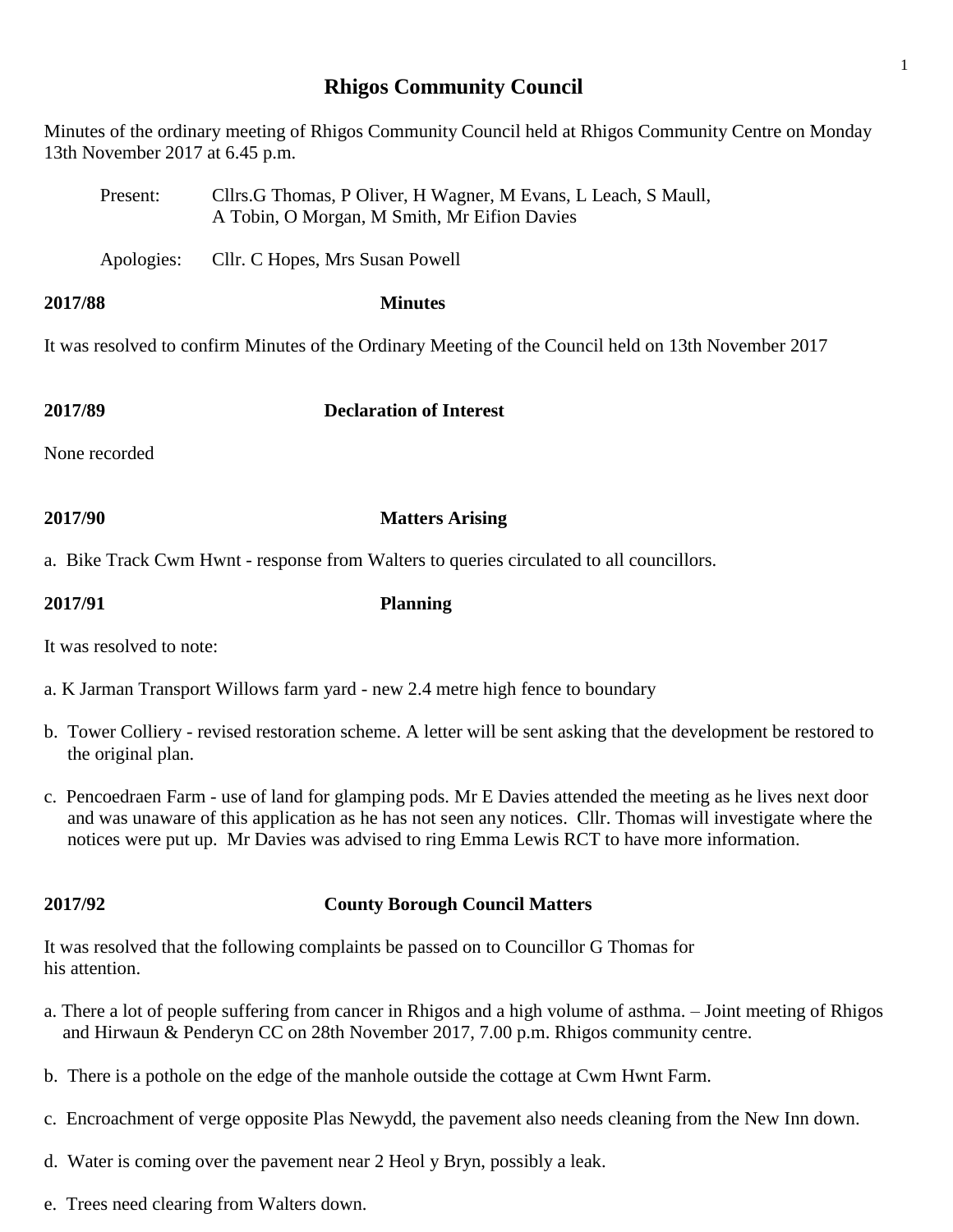# **Rhigos Community Council**

Minutes of the ordinary meeting of Rhigos Community Council held at Rhigos Community Centre on Monday 13th November 2017 at 6.45 p.m.

- Present: Cllrs.G Thomas, P Oliver, H Wagner, M Evans, L Leach, S Maull, A Tobin, O Morgan, M Smith, Mr Eifion Davies
- Apologies: Cllr. C Hopes, Mrs Susan Powell
- **2017/88 Minutes**

It was resolved to confirm Minutes of the Ordinary Meeting of the Council held on 13th November 2017

**2017/89 Declaration of Interest**

None recorded

**2017/90 Matters Arising**

a. Bike Track Cwm Hwnt - response from Walters to queries circulated to all councillors.

**2017/91 Planning**

It was resolved to note:

a. K Jarman Transport Willows farm yard - new 2.4 metre high fence to boundary

- b. Tower Colliery revised restoration scheme. A letter will be sent asking that the development be restored to the original plan.
- c. Pencoedraen Farm use of land for glamping pods. Mr E Davies attended the meeting as he lives next door and was unaware of this application as he has not seen any notices. Cllr. Thomas will investigate where the notices were put up. Mr Davies was advised to ring Emma Lewis RCT to have more information.

## **2017/92 County Borough Council Matters**

It was resolved that the following complaints be passed on to Councillor G Thomas for his attention.

- a. There a lot of people suffering from cancer in Rhigos and a high volume of asthma. Joint meeting of Rhigos and Hirwaun & Penderyn CC on 28th November 2017, 7.00 p.m. Rhigos community centre.
- b. There is a pothole on the edge of the manhole outside the cottage at Cwm Hwnt Farm.
- c. Encroachment of verge opposite Plas Newydd, the pavement also needs cleaning from the New Inn down.
- d. Water is coming over the pavement near 2 Heol y Bryn, possibly a leak.
- e. Trees need clearing from Walters down.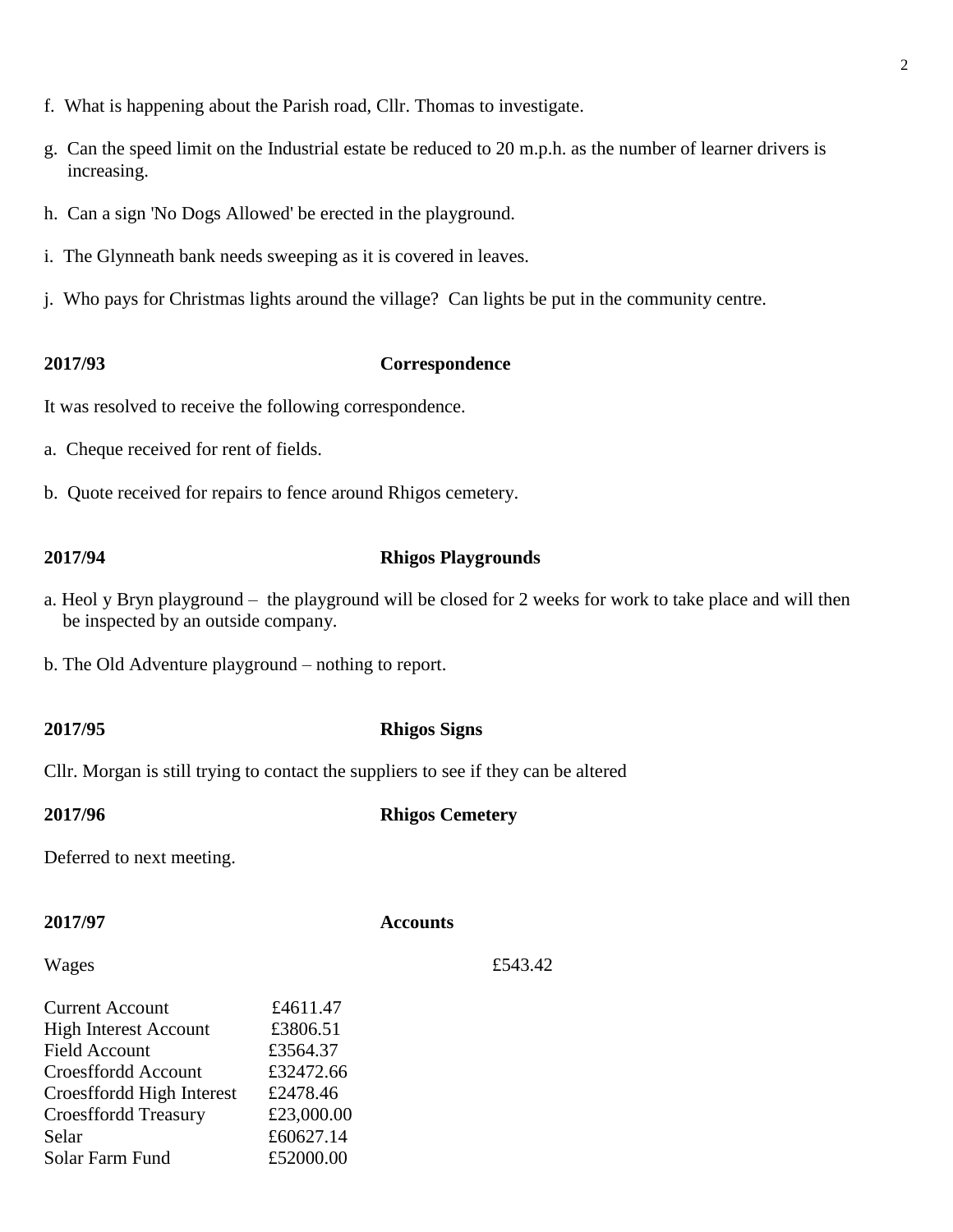- f. What is happening about the Parish road, Cllr. Thomas to investigate.
- g. Can the speed limit on the Industrial estate be reduced to 20 m.p.h. as the number of learner drivers is increasing.
- h. Can a sign 'No Dogs Allowed' be erected in the playground.
- i. The Glynneath bank needs sweeping as it is covered in leaves.
- j. Who pays for Christmas lights around the village? Can lights be put in the community centre.

### **2017/93 Correspondence**

It was resolved to receive the following correspondence.

- a. Cheque received for rent of fields.
- b. Quote received for repairs to fence around Rhigos cemetery.

### **2017/94 Rhigos Playgrounds**

- a. Heol y Bryn playground the playground will be closed for 2 weeks for work to take place and will then be inspected by an outside company.
- b. The Old Adventure playground nothing to report.

### **2017/95 Rhigos Signs**

Cllr. Morgan is still trying to contact the suppliers to see if they can be altered

### **2017/96 Rhigos Cemetery**

Deferred to next meeting.

### **2017/97 Accounts**

Wages  $£543.42$ 

| <b>Current Account</b>       | £4611.47   |
|------------------------------|------------|
| <b>High Interest Account</b> | £3806.51   |
| <b>Field Account</b>         | £3564.37   |
| Croesffordd Account          | £32472.66  |
| Croesffordd High Interest    | £2478.46   |
| <b>Croesffordd Treasury</b>  | £23,000.00 |
| Selar                        | £60627.14  |
| Solar Farm Fund              | £52000.00  |